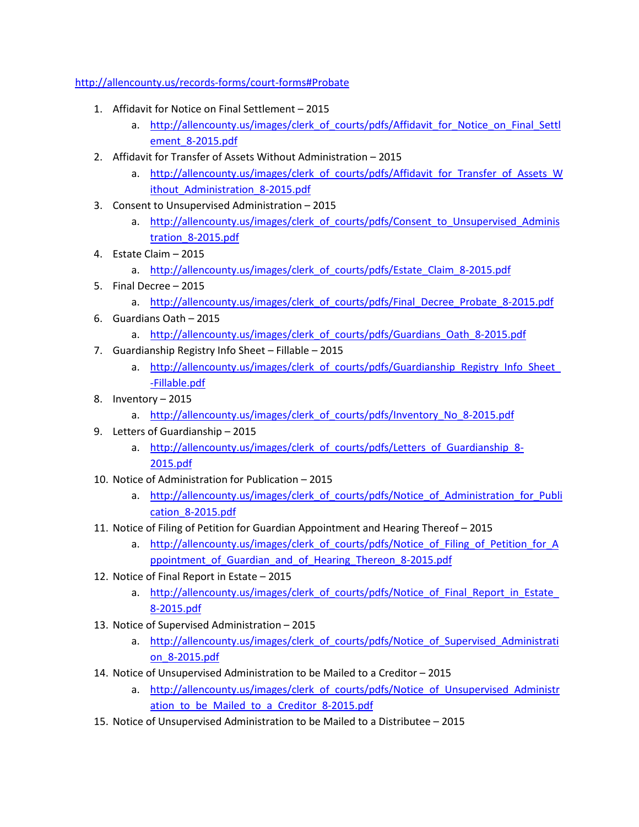## <http://allencounty.us/records-forms/court-forms#Probate>

- 1. Affidavit for Notice on Final Settlement 2015
	- a. http://allencounty.us/images/clerk of courts/pdfs/Affidavit for Notice on Final Settl [ement\\_8-2015.pdf](http://allencounty.us/images/clerk_of_courts/pdfs/Affidavit_for_Notice_on_Final_Settlement_8-2015.pdf)
- 2. Affidavit for Transfer of Assets Without Administration 2015
	- a. http://allencounty.us/images/clerk of courts/pdfs/Affidavit for Transfer of Assets W ithout Administration 8-2015.pdf
- 3. Consent to Unsupervised Administration 2015
	- a. http://allencounty.us/images/clerk of courts/pdfs/Consent to Unsupervised Adminis [tration\\_8-2015.pdf](http://allencounty.us/images/clerk_of_courts/pdfs/Consent_to_Unsupervised_Administration_8-2015.pdf)
- 4. Estate Claim 2015
	- a. http://allencounty.us/images/clerk of courts/pdfs/Estate Claim 8-2015.pdf
- 5. Final Decree 2015
	- a. http://allencounty.us/images/clerk of courts/pdfs/Final Decree Probate 8-2015.pdf
- 6. Guardians Oath 2015
	- a. [http://allencounty.us/images/clerk\\_of\\_courts/pdfs/Guardians\\_Oath\\_8-2015.pdf](http://allencounty.us/images/clerk_of_courts/pdfs/Guardians_Oath_8-2015.pdf)
- 7. Guardianship Registry Info Sheet Fillable 2015
	- a. http://allencounty.us/images/clerk of courts/pdfs/Guardianship Registry Info Sheet [-Fillable.pdf](http://allencounty.us/images/clerk_of_courts/pdfs/Guardianship_Registry_Info_Sheet_-Fillable.pdf)
- 8. Inventory 2015
	- a. [http://allencounty.us/images/clerk\\_of\\_courts/pdfs/Inventory\\_No\\_8-2015.pdf](http://allencounty.us/images/clerk_of_courts/pdfs/Inventory_No_8-2015.pdf)
- 9. Letters of Guardianship 2015
	- a. [http://allencounty.us/images/clerk\\_of\\_courts/pdfs/Letters\\_of\\_Guardianship\\_8-](http://allencounty.us/images/clerk_of_courts/pdfs/Letters_of_Guardianship_8-2015.pdf) [2015.pdf](http://allencounty.us/images/clerk_of_courts/pdfs/Letters_of_Guardianship_8-2015.pdf)
- 10. Notice of Administration for Publication 2015
	- a. http://allencounty.us/images/clerk of courts/pdfs/Notice of Administration for Publi [cation\\_8-2015.pdf](http://allencounty.us/images/clerk_of_courts/pdfs/Notice_of_Administration_for_Publication_8-2015.pdf)
- 11. Notice of Filing of Petition for Guardian Appointment and Hearing Thereof 2015
	- a. http://allencounty.us/images/clerk of courts/pdfs/Notice of Filing of Petition for A ppointment of Guardian and of Hearing Thereon 8-2015.pdf
- 12. Notice of Final Report in Estate 2015
	- a. http://allencounty.us/images/clerk of courts/pdfs/Notice of Final Report in Estate [8-2015.pdf](http://allencounty.us/images/clerk_of_courts/pdfs/Notice_of_Final_Report_in_Estate_8-2015.pdf)
- 13. Notice of Supervised Administration 2015
	- a. [http://allencounty.us/images/clerk\\_of\\_courts/pdfs/Notice\\_of\\_Supervised\\_Administrati](http://allencounty.us/images/clerk_of_courts/pdfs/Notice_of_Supervised_Administration_8-2015.pdf) [on\\_8-2015.pdf](http://allencounty.us/images/clerk_of_courts/pdfs/Notice_of_Supervised_Administration_8-2015.pdf)
- 14. Notice of Unsupervised Administration to be Mailed to a Creditor 2015
	- a. http://allencounty.us/images/clerk of courts/pdfs/Notice of Unsupervised Administr ation to be Mailed to a Creditor 8-2015.pdf
- 15. Notice of Unsupervised Administration to be Mailed to a Distributee 2015